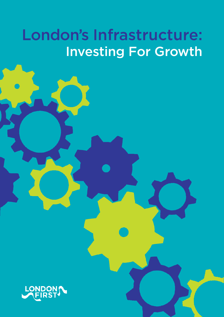# London's Infrastructure: Investing For Growth

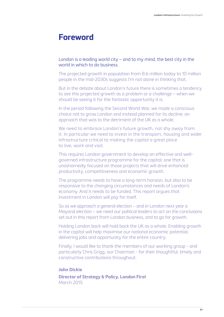### **Foreword**

#### London is a leading world city – and to my mind, the best city in the world in which to do business.

The projected growth in population from 8.6 million today to 10 million people in the mid-2030s suggests I'm not alone in thinking that.

But in the debate about London's future there is sometimes a tendency to see this projected growth as a problem or a challenge – when we should be seeing it for the fantastic opportunity it is.

In the period following the Second World War, we made a conscious choice not to grow London and instead planned for its decline; an approach that was to the detriment of the UK as a whole.

We need to embrace London's future growth, not shy away from it. In particular we need to invest in the transport, housing and wider infrastructure critical to making the capital a great place to live, work and visit.

This requires London government to develop an effective and wellgoverned infrastructure programme for the capital; one that is unashamedly focused on those projects that will drive enhanced productivity, competitiveness and economic growth.

The programme needs to have a long-term horizon, but also to be responsive to the changing circumstances and needs of London's economy. And it needs to be funded. This report argues that investment in London will pay for itself.

So as we approach a general election – and in London next year a Mayoral election – we need our political leaders to act on the conclusions set out in this report from London business, and to go for growth.

Holding London back will hold back the UK as a whole. Enabling growth in the capital will help maximise our national economic potential, delivering jobs and opportunity for the entire country.

Finally, I would like to thank the members of our working group - and particularly Chris Grigg, our Chairman - for their thoughtful, timely and constructive contributions throughout.

#### **John Dickie**

**Director of Strategy & Policy, London First** March 2015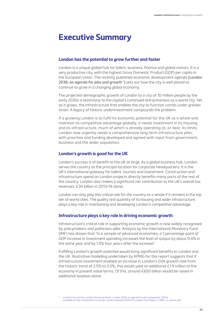### **Executive Summary**

#### **London has the potential to grow further and faster**

London is a unique global hub for talent, business, finance and global visitors. It is a very productive city, with the highest Gross Domestic Product (GDP) per capita in the European Union. The recently published economic development agenda (London 2036: an agenda for jobs and growth <sup>1</sup>) sets out how the city is well placed to continue to grow in a changing global economy.

The projected demographic growth of London to a city of 10 million people by the early 2030s is testimony to the capital's continued attractiveness as a world city. Yet as it grows, the infrastructure that enables the city to function comes under greater strain. A legacy of historic underinvestment compounds the problem.

If a growing London is to fulfil its economic potential for the UK as a whole and maintain its competitive advantage globally, it needs investment in its housing and its infrastructure, much of which is already operating at, or near, its limits. London now urgently needs a comprehensive long term infrastructure plan, with priorities and funding developed and agreed with input from government, business and the wider population.

#### **London's growth is good for the UK**

London's success is of benefit to the UK at large. As a global business hub, London serves the country as the principal location for corporate headquarters. It is the UK's international gateway for talent, tourists and investment. Construction and infrastructure spend on London projects directly benefits many parts of the rest of the country. London also makes a significant net contribution to the UK's overall tax revenues: £34 billion in 2013/14 alone.

London can only play this critical role for the country as a whole if it remains in the top tier of world cities. The quality and quantity of its housing and wider infrastructure plays a key role in maintaining and developing London's competitive advantage.

#### **Infrastructure plays a key role in driving economic growth**

Infrastructure's critical role in supporting economic growth is now widely recognised by policymakers and politicians alike. Analysis by the International Monetary Fund (IMF) has shown that "in a sample of advanced economies, a 1 percentage point of GDP increase in investment spending increases the level of output by about 0.4% in the same year and by 1.5% four years after the increase".

Fulfilling London's growth potential would bring significant benefits to London and the UK. Illustrative modelling undertaken by KPMG for this report suggests that if infrastructure investment enabled an increase in London's GVA growth rate from the historic trend of 2.5% to 3.5%, this would yield an additional £1.9 trillion to the economy in present value terms. Of this, around £650 billion would be raised in additional taxation alone.

1. London First and the London Enterprise Panel, 'London 2036: an agenda for jobs and growth' (2014), available at http://londonfirst.co.uk/wp-content/uploads/2015/01/London-First-Report\_FINAL\_e-version.pdf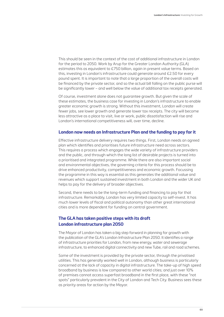This should be seen in the context of the cost of additional infrastructure in London for the period to 2050. Work by Arup for the Greater London Authority (GLA) estimates this as equivalent to £750 billion, again in present value terms. Based on this, investing in London's infrastructure could generate around £2.50 for every pound spent. It is important to note that a large proportion of the overall costs will be financed by the private sector, and so the actual bill falling on the public purse will be significantly lower – and well below the value of additional tax receipts generated.

Of course, investment alone does not guarantee growth. But given the scale of these estimates, the business case for investing in London's infrastructure to enable greater economic growth is strong. Without this investment, London will create fewer jobs, see lower growth and generate lower tax receipts. The city will become less attractive as a place to visit, live or work, public dissatisfaction will rise and London's international competitiveness will, over time, decline.

#### **London now needs an Infrastructure Plan and the funding to pay for it**

Effective infrastructure delivery requires two things. First, London needs an agreed plan which identifies and prioritises future infrastructure need across sectors. This requires a process which engages the wide variety of infrastructure providers and the public, and through which the long list of desirable projects is turned into a prioritised and integrated programme. While there are also important social and environmental objectives, the governing criteria for this process should be to drive enhanced productivity, competitiveness and economic growth. Focussing the programme in this way is essential as this generates the additional value and revenues which support sustained investment in both London and the wider UK and helps to pay for the delivery of broader objectives.

Second, there needs to be the long-term funding and financing to pay for that infrastructure. Remarkably, London has very limited capacity to self-invest. It has much lower levels of fiscal and political autonomy than other great international cities and is more dependent for funding on central government.

#### **The GLA has taken positive steps with its draft London infrastructure plan 2050**

The Mayor of London has taken a big step forward in planning for growth with the publication of the GLA's London Infrastructure Plan 2050. It identifies a range of infrastructure priorities for London, from new energy, water and sewerage infrastructure, to enhanced digital connectivity and new Tube, rail and road schemes.

Some of the investment is provided by the private sector, through the privatised utilities. This has generally worked well in London, although business is particularly concerned at the lack of capacity in digital infrastructure. The take-up of high speed broadband by business is low compared to other world cities; and just over 10% of premises cannot access superfast broadband in the first place, with these "not spots" particularly prevalent in the City of London and Tech City. Business sees these as priority areas for action by the Mayor.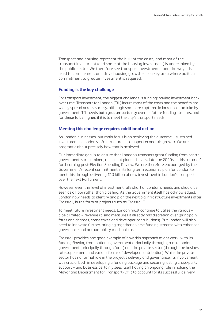Transport and housing represent the bulk of the costs, and most of the transport investment (and some of the housing investment) is undertaken by the public sector. We therefore see transport investment – and the way it is used to complement and drive housing growth – as a key area where political commitment to greater investment is required.

#### **Funding is the key challenge**

For transport investment, the biggest challenge is funding: paying investment back over time. Transport for London (TfL) incurs most of the costs and the benefits are widely spread across society, although some are captured in increased tax take by government. TfL needs both greater certainty over its future funding streams, and for these to be higher, if it is to meet the city's transport needs.

#### **Meeting this challenge requires additional action**

As London businesses, our main focus is on achieving the outcome – sustained investment in London's infrastructure – to support economic growth. We are pragmatic about precisely how that is achieved.

Our immediate goal is to ensure that London's transport grant funding from central government is maintained, at least at planned levels, into the 2020s in this summer's forthcoming post-Election Spending Review. We are therefore encouraged by the Government's recent commitment in its long term economic plan for London to meet this through delivering £10 billion of new investment in London's transport over the next Parliament.

However, even this level of investment falls short of London's needs and should be seen as a floor rather than a ceiling. As the Government itself has acknowledged, London now needs to identify and plan the next big infrastructure investments after Crossrail, in the form of projects such as Crossrail 2.

To meet future investment needs, London must continue to utilise the various – albeit limited – revenue raising measures it already has discretion over (principally fares and charges, some taxes and developer contributions). But London will also need to innovate further, bringing together diverse funding streams with enhanced governance and accountability mechanisms.

Crossrail provides one good example of how this approach might work, with its funding flowing from national government (principally through grant), London government (principally through fares) and the private sector (through the business rate supplement and various forms of developer contribution). While the private sector has no formal role in the project's delivery and governance, its involvement was crucial both in developing a funding package and securing lasting cross-party support – and business certainly sees itself having an ongoing role in holding the Mayor and Department for Transport (DfT) to account for its successful delivery.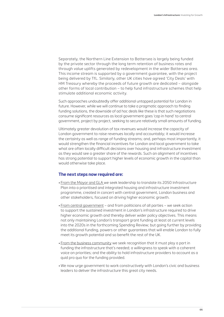Separately, the Northern Line Extension to Battersea is largely being funded by the private sector through the long term retention of business rates and through value uplifts generated by redevelopment in the wider Battersea area. This income stream is supported by a government guarantee, with the project being delivered by TfL. Similarly, other UK cities have agreed 'City Deals' with HM Treasury whereby the proceeds of future growth are dedicated – alongside other forms of local contribution – to help fund infrastructure schemes that help stimulate additional economic activity.

Such approaches undoubtedly offer additional untapped potential for London in future. However, while we will continue to take a pragmatic approach to finding funding solutions, the downside of ad hoc deals like these is that such negotiations consume significant resources as local government goes 'cap in hand' to central government, project by project, seeking to secure relatively small amounts of funding.

Ultimately greater devolution of tax revenues would increase the capacity of London government to raise revenues locally and accountably; it would increase the certainty as well as range of funding streams; and, perhaps most importantly, it would strengthen the financial incentives for London and local government to take what are often locally difficult decisions over housing and infrastructure investment as they would see a greater share of the rewards. Such an alignment of incentives has strong potential to support higher levels of economic growth in the capital than would otherwise take place.

#### **The next steps now required are:**

- From the Mayor and GLA we seek leadership to translate its 2050 Infrastructure Plan into a prioritised and integrated housing and infrastructure investment programme, created in concert with central government, London business and other stakeholders, focused on driving higher economic growth.
- From central government and from politicians of all parties we seek action to support the sustained investment in London's infrastructure required to drive higher economic growth and thereby deliver wider policy objectives. This means not only maintaining London's transport grant funding at least at current levels into the 2020s in the forthcoming Spending Review; but going further by providing the additional funding, powers or other guarantees that will enable London to fully meet its growth potential and so benefit the rest of the UK.
- From the business community we seek recognition that it must play a part in funding the infrastructure that's needed; a willingness to speak with a coherent voice on priorities; and the ability to hold infrastructure providers to account as a quid pro quo for the funding provided.
- We now urge government to work constructively with London's civic and business leaders to deliver the infrastructure this great city needs.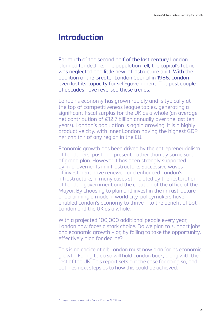## **Introduction**

For much of the second half of the last century London planned for decline. The population fell, the capital's fabric was neglected and little new infrastructure built. With the abolition of the Greater London Council in 1986, London even lost its capacity for self-government. The past couple of decades have reversed these trends.

London's economy has grown rapidly and is typically at the top of competitiveness league tables, generating a significant fiscal surplus for the UK as a whole (an average net contribution of £12.7 billion annually over the last ten years). London's population is again growing. It is a highly productive city, with Inner London having the highest GDP per capita<sup>2</sup> of any region in the EU.

Economic growth has been driven by the entrepreneurialism of Londoners, past and present, rather than by some sort of grand plan. However it has been strongly supported by improvements in infrastructure. Successive waves of investment have renewed and enhanced London's infrastructure, in many cases stimulated by the restoration of London government and the creation of the office of the Mayor. By choosing to plan and invest in the infrastructure underpinning a modern world city, policymakers have enabled London's economy to thrive – to the benefit of both London and the UK as a whole.

With a projected 100,000 additional people every year, London now faces a stark choice. Do we plan to support jobs and economic growth – or, by failing to take the opportunity, effectively plan for decline?

This is no choice at all; London must now plan for its economic growth. Failing to do so will hold London back, along with the rest of the UK. This report sets out the case for doing so, and outlines next steps as to how this could be achieved.

<sup>2.</sup> In purchasing power parity. Source: Eurostat NUTS II data.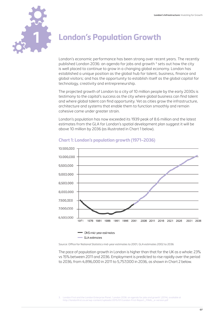

# **1 London's Population Growth**

London's economic performance has been strong over recent years. The recently published London 2036: an agenda for jobs and growth <sup>3</sup> sets out how the city is well placed to continue to grow in a changing global economy. London has established a unique position as the global hub for talent, business, finance and global visitors; and has the opportunity to establish itself as the global capital for technology, creativity and entrepreneurship.

The projected growth of London to a city of 10 million people by the early 2030s is testimony to the capital's success as the city where global business can find talent and where global talent can find opportunity. Yet as cities grow the infrastructure, architecture and systems that enable them to function smoothly and remain cohesive come under greater strain.

London's population has now exceeded its 1939 peak of 8.6 million and the latest estimates from the GLA for London's spatial development plan suggest it will be above 10 million by 2036 (as illustrated in Chart 1 below).



#### **Chart 1: London's population growth (1971–2036)**

Source: Office for National Statistics mid-year estimates to 2001, GLA estimates 2002 to 2036

The pace of population growth in London is higher than that for the UK as a whole: 23% vs 15% between 2011 and 2036. Employment is predicted to rise rapidly over the period to 2036, from 4,896,000 in 2011 to 5,757,000 in 2036, as shown in Chart 2 below.

<sup>3.</sup> London First and the London Enterprise Panel, 'London 2036: an agenda for jobs and growth' (2014), available at http://londonfirst.co.uk/wp-content/uploads/2015/01/London-First-Report\_FINAL\_e-version.pdf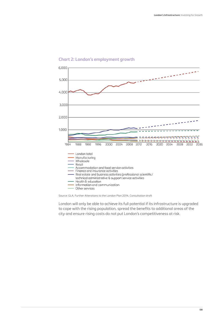

#### **Chart 2: London's employment growth**

Source: GLA, Further Alterations to the London Plan 2014, Consultation draft

London will only be able to achieve its full potential if its infrastructure is upgraded to cope with the rising population, spread the benefits to additional areas of the city and ensure rising costs do not put London's competitiveness at risk.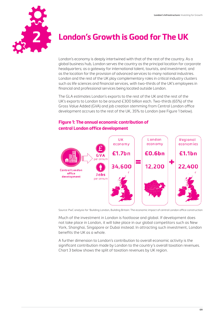

# **London's Growth is Good for The UK**

London's economy is deeply intertwined with that of the rest of the country. As a global business hub, London serves the country as the principal location for corporate headquarters; as a gateway for international talent, tourists, and investment; and as the location for the provision of advanced services to many national industries. London and the rest of the UK play complementary roles in critical industry clusters such as life sciences and financial services, with two-thirds of the UK's employees in financial and professional services being located outside London.

The GLA estimates London's exports to the rest of the UK and the rest of the UK's exports to London to be around £300 billion each. Two-thirds (65%) of the Gross Value Added (GVA) and job creation stemming from Central London office development accrues to the rest of the UK, 35% to London (see Figure 1 below).

#### **Figure 1: The annual economic contribution of central London office development**



Source: PwC analysis for 'Building London, Building Britain: The economic impact of central London office construction

Much of the investment in London is footloose and global. If development does not take place in London, it will take place in our global competitors such as New York, Shanghai, Singapore or Dubai instead. In attracting such investment, London benefits the UK as a whole.

A further dimension to London's contribution to overall economic activity is the significant contribution made by London to the country's overall taxation revenues. Chart 3 below shows the split of taxation revenues by UK region.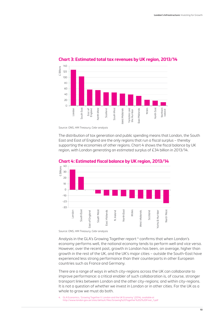

#### **Chart 3: Estimated total tax revenues by UK region, 2013/14**

Source: ONS, HM Treasury, Cebr analysis

The distribution of tax generation and public spending means that London, the South East and East of England are the only regions that run a fiscal surplus – thereby supporting the economies of other regions. Chart 4 shows the fiscal balance by UK region, with London generating an estimated surplus of £34 billion in 2013/14.





Source: ONS, HM Treasury, Cebr analysis

Analysis in the GLA's Growing Together report<sup>4</sup> confirms that when London's economy performs well, the national economy tends to perform well and vice versa. However, over the recent past, growth in London has been, on average, higher than growth in the rest of the UK, and the UK's major cities – outside the South-East have experienced less strong performance than their counterparts in other European countries such as France and Germany.

There are a range of ways in which city-regions across the UK can collaborate to improve performance: a critical enabler of such collaboration is, of course, stronger transport links between London and the other city-regions; and within city-regions. It is not a question of whether we invest in London or in other cities. For the UK as a whole to grow we must do both.

4. GLA Economics, 'Growing Together II: London and the UK Economy' (2014), available at http://www.london.gov.uk/sites/default/files/Growing%20Together%202%20Final\_1.pdf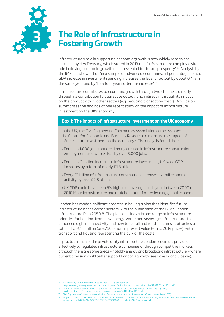

# **The Role of Infrastructure in Fostering Growth**

Infrastructure's role in supporting economic growth is now widely recognised, including by HM Treasury, which stated in 2013 that "infrastructure can play a vital role in driving economic growth and is essential for future prosperity" 5. Analysis by the IMF has shown that "in a sample of advanced economies, a 1 percentage point of GDP increase in investment spending increases the level of output by about 0.4% in the same year and by 1.5% four years after the increase" 6.

Infrastructure contributes to economic growth through two channels: directly through its contribution to aggregate output; and indirectly, through its impact on the productivity of other sectors (e.g. reducing transaction costs). Box 1 below summarises the findings of one recent study on the impact of infrastructure investment on the UK's economy.

#### **Box 1: The impact of infrastructure investment on the UK economy**

In the UK, the Civil Engineering Contractors Association commissioned the Centre for Economic and Business Research to measure the impact of infrastructure investment on the economy  $\bar{?}$  The analysis found that:

- For each 1,000 jobs that are directly created in infrastructure construction, employment as a whole rises by over 3,000 jobs;
- For each £1 billion increase in infrastructure investment, UK-wide GDP increases by a total of nearly £1.3 billion;
- Every £1 billion of infrastructure construction increases overall economic activity by over £2.8 billion;
- •UK GDP could have been 5% higher, on average, each year between 2000 and 2010 if our infrastructure had matched that of other leading global economies.

London has made significant progress in having a plan that identifies future infrastructure needs across sectors with the publication of the GLA's London Infrastructure Plan 2050 8. The plan identifies a broad range of infrastructure priorities for London, from new energy, water and sewerage infrastructure, to enhanced digital connectivity and new tube, rail and road schemes. It attaches a total bill of £1.3 trillion (or £750 billion in present value terms, 2014 prices), with transport and housing representing the bulk of the costs.

In practice, much of the private utility infrastructure London requires is provided effectively by regulated infrastructure companies or through competitive markets, although there are some areas – notably energy and broadband infrastructure – where current provision could better support London's growth (see Boxes 2 and 3 below).

- https://www.gov.uk/government/uploads/system/uploads/attachment\_data/file/188337/nip\_2011.pdf 6. IMF, 'Is It Time for An Infrastructure Push? The Macroeconomic Effects of Public Investment' (2014),
- available at http://www.imf.org/external/pubs/ft/weo/2014/02/pdf/c3.pdf
- 7. Civil Engineering Contractors Association, 'Securing our economy: the case for infrastructure' (May 2013).

<sup>5.</sup> HM Treasury, 'National Infrastructure Plan' (2011), available at

<sup>8.</sup> Mayor of London, 'London Infrastructure Plan 2050' (2014), available at https://www.london.gov.uk/sites/default/files/London%20 Infrastructure%20Plan%202050%20%E2%80%93%20consultation%20document.pdf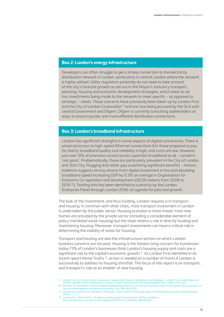#### **Box 2: London's energy infrastructure**

Developers can often struggle to get a timely connection to the electricity distribution network in London, particularly in central London where the network is highly utilised. Utility regulators presently do not need to take account of the city's forecast growth as set out in the Mayor's statutory transport, planning, housing and economic development strategies, which leads to ad hoc investments being made to the network to meet specific – as opposed to strategic – needs. These concerns have previously been taken up by London First and the City of London Corporation <sup>9</sup> and are now being pursued by the GLA with central Government and Ofgem. Ofgem is currently consulting stakeholders on ways to ensure quicker and more efficient distribution connections.

#### **Box 3: London's broadband infrastructure**

London has significant strengths in some aspects of digital connectivity. There is universal access to high-speed Ethernet connections (for those prepared to pay for them); broadband quality and reliability is high; and costs are low. However, just over 10% of premises cannot access superfast broadband at all – London's 'not spots'. Problematically, these are particularly prevalent in the City of London and Tech City. Plugging that latter gap could bring significant benefits – historic evidence suggests strong returns from digital investment in the past (doubling broadband speed increasing GDP by 0.3% on average in Organisation for Economic Co-operation and Development (OECD) nations from 2008 to 2010 10). Tackling this has been identified as a priority by the London Enterprise Panel through London 2036: an agenda for jobs and growth.

The bulk of the investment, and thus funding, London requires is in transport and housing. In common with other cities, most transport investment in London is undertaken by the public sector. Housing provision is more mixed: most new homes are provided by the private sector (including a considerable element of policy mandated social housing) but the state retains a role in directly funding and maintaining housing. Moreover, transport investments can have a critical role in determining the viability of areas for housing.

Transport and housing are also the infrastructure sectors on which London business concerns are focused. Housing is the fastest rising concern for businesses: today 73% of London's businesses think London's housing supply and costs are a significant risk to the capital's economic growth  $11$ . As London First identified in its recent report Home Truths 12, action is needed on a number of fronts if London is successfully to address its housing shortfall. The focus of this report is on transport, and transport's role as an enabler of new housing.

- 9. London First and City of London Corporation, 'Supporting UK growth while balancing the budget a report from London business' (2009), available at http://londonfirst.co.uk/wp-content/uploads/2012/09/SupportingUKGrowth\_WEB\_FINAL.pdf
- 10. Rohman, I.K. and Bohlin, E. Does Broadband Speed Really Matter As a Driver of Economic Growth? Investigating OECD countries, Int. Journal of Management and Network Economics, 2(4), 336-356 (2012)
- 11. London First and Turner & Townsend, 'Moving out how London's housing shortage is threatening the capital's competitiveness'  $(2014)$
- 12. London First, 'Home Truths 12 steps to solving London's housing crisis' (2014), available at http://londonfirst.co.uk/wp-content/uploads/2014/03/LF\_HOUSING\_REPORT.pdf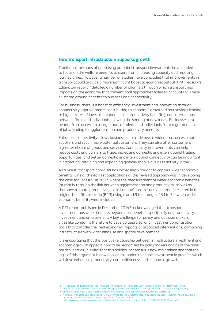#### **How transport infrastructure supports growth**

Traditional methods of appraising potential transport investments have tended to focus on the welfare benefits to users from increasing capacity and reducing journey times. However a number of studies have concluded that improvements in transport could provide a more significant boost to economic output. HM Treasury's Eddington report 13 detailed a number of channels through which transport has impacts on the economy that conventional approaches failed to account for. These clustered around benefits to business and connectivity.

For business, there is a boost to efficiency, investment and innovation through connectivity improvements contributing to economic growth; direct savings leading to higher rates of investment (and hence productivity benefits); and interactions between firms and individuals allowing the sharing of new ideas. Businesses also benefit from access to a larger pool of talent, and individuals from a greater choice of jobs, leading to agglomeration and productivity benefits.

Enhanced connectivity allows businesses to trade over a wider area, access more suppliers and reach more potential customers. They can also offer consumers a greater choice of goods and services. Connectivity improvements can help reduce costs and barriers to trade, increasing domestic and international trading opportunities; and better domestic and international connectivity can be important in attracting, retaining and expanding globally mobile business activity in the UK.

As a result, transport appraisal has increasingly sought to capture wider economic benefits. One of the earliest applications of this revised approach was in developing the case for Crossrail in 2007, where the measurement of wider economic benefits (primarily through the link between agglomeration and productivity, as well as themove to more productive jobs in London's central activities zone) resulted in the original benefit-cost ratio (BCR) rising from 1.9 to a range of 3.1 to  $7<sup>14</sup>$  when wider economic benefits were included.

A DfT report published in December 2014 15 acknowledged that transport investment has wider impacts beyond user benefits, specifically on productivity, investment and employment. A key challenge for policy and decision makers in cities like London is therefore to develop appraisal and investment prioritisation tools that consider the 'real economy' impacts of proposed interventions, combining infrastructure with wider land use and spatial development.

It is encouraging that this positive relationship between infrastructure investment and economic growth appears now to be recognised by policymakers and all of the main political parties. It is vital that this political consensus is now maintained and that the logic of this argument is now applied to London to enable investment in projects which will drive enhanced productivity, competitiveness and economic growth.

<sup>13.</sup> HM Treasury and Department for Transport, 'The Eddington Transport Study' (2006), available at http://webarchive.<br>/hationalarchives.gov.uk/20090104005813/http:/www.dft.gov.uk/about/strategy/transportstrategy/eddingtons

<sup>14.</sup> See the National Audit Office report at http://www.nao.org.uk/wp-content/uploads/2014/01/Crossrail.pdf

<sup>15.</sup> Anthony J. Venables, James Laird and Henry Overman for the Department for Transport, 'Transport investment and economic performance: implications for project appraisal' (2014), available at https://www.gov.uk/government/uploads/system/uploads/attachment\_data/file/386126/TIEP\_Report.pdf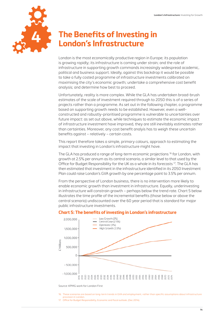

# **The Benefits of Investing in 4 London's Infrastructure**

London is the most economically productive region in Europe; its population is growing rapidly; its infrastructure is coming under strain; and the role of infrastructure in supporting growth commands increasingly widespread academic, political and business support. Ideally, against this backdrop it would be possible to take a fully costed programme of infrastructure investments calibrated on maximising the city's economic growth; undertake a comprehensive cost benefit analysis; and determine how best to proceed.

Unfortunately, reality is more complex. While the GLA has undertaken broad-brush estimates of the scale of investment required through to 2050 this is of a series of projects rather than a programme. As set out in the following chapter, a programme based on supporting growth needs to be established. However, even a wellconstructed and robustly-prioritised programme is vulnerable to uncertainties over future impact: as set out above, while techniques to estimate the economic impact of infrastructure investment have improved, they are still inevitably estimates rather than certainties. Moreover, any cost benefit analyis has to weigh these uncertain benefits against – relatively – certain costs.

This report therefore takes a simple, primary colours, approach to estimating the impact that investing in London's infrastructure might have.

The GLA has produced a range of long-term economic projections 16 for London, with growth at 2.5% per annum as its central scenario, a similar level to that used by the Office for Budget Responsibility for the UK as a whole in its forecasts 17. The GLA has then estimated that investment in the infrastructure identified in its 2050 Investment Plan could raise London's GVA growth by one percentage point to 3.5% per annum.

From the perspective of London business, there is no intervention more likely to enable economic growth than investment in infrastructure. Equally, underinvesting in infrastructure will constrain growth – perhaps below the trend rate. Chart 5 below illustrates the time profile of the incremental benefits (those below or above the central scenario) undiscounted over the 60 year period that is standard for major public infrastructure investments.

#### **Chart 5: The benefits of investing in London's infrastructure**



Source: KPMG work for London First

- 16. These scenarios are based on long-term trends in GVA and employment, rather than specific assumptions about infrastructure provision in London.
- 17. Office for Budget Responsibility, Economic and fiscal outlook, (Dec 2014).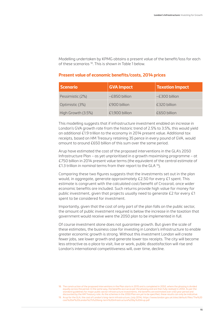Modelling undertaken by KPMG obtains a present value of the benefit/loss for each of these scenarios 18. This is shown in Table 1 below.

#### **Present value of economic benefits/costs, 2014 prices**

| <b>Scenario</b>    | <b>GVA Impact</b> | <b>Taxation Impact</b> |
|--------------------|-------------------|------------------------|
| Pessimistic (2%)   | $-E850$ billion   | $-E300$ billion        |
| Optimistic (3%)    | £900 billion      | £320 billion           |
| High Growth (3.5%) | £1,900 billion    | £650 billion           |

This modelling suggests that if infrastructure investment enabled an increase in London's GVA growth rate from the historic trend of 2.5% to 3.5%, this would yield an additional £1.9 trillion to the economy in 2014 present value. Additional tax receipts, based on HM Treasury retaining 35 pence in every pound of GVA, would amount to around £650 billion of this sum over the same period.

Arup have estimated the cost of the proposed interventions in the GLA's 2050 Infrastructure Plan – as yet unprioritised in a growth maximising programme – at £750 billion in 2014 present value terms (the equivalent of the central estimate of £1.3 trillion in nominal terms from their report to the GLA 19).

Comparing these two figures suggests that the investments set out in the plan would, in aggregate, generate approximately £2.50 for every £1 spent. This estimate is congruent with the calculated cost/benefit of Crossrail, once wider economic benefits are included. Such returns provide high value for money for public investment, given that projects usually need to generate £2 for every £1 spent to be considered for investment.

Importantly, given that the cost of only part of the plan falls on the public sector, the amount of public investment required is below the increase in the taxation that government would receive were the 2050 plan to be implemented in full.

Of course investment alone does not guarantee growth. But given the scale of these estimates, the business case for investing in London's infrastructure to enable greater economic growth is strong. Without this investment London will create fewer jobs, see lower growth and generate lower tax receipts. The city will become less attractive as a place to visit, live or work, public dissatisfaction will rise and London's international competitiveness will, over time, decline.

<sup>18.</sup> The construction of the proposed interventions in the Plan starts in 2015 and is completed in 2050, where the phasing is divided equally across the period. In the same way, the benefits accrue as per the phasing and are then fully realised in 2050. As per the<br>standard quidelines for major public sector infrastructure investments, the benefits are es discounted by the HM Treasury rate. As the schemes in the 2050 Plan are yet to be specified, these results can only be indicative. 19. Arup for the GLA, the cost of London's long-term infrastructure, (July 2014). https://www.london.gov.uk/sites/default/files/The%20 cost%20of%20London%27s%20long-term%20infrastructure%20by%20Arup.pdf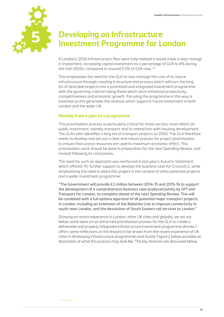

# **Developing an Infrastructure Investment Programme for London**

If London's 2050 Infrastructure Plan were fully realised it would mark a step-change in investment, increasing capital investment as a percentage of GVA to 8% during the mid-2020s, compared to around 5.5% of GVA now. 20

This emphasises the need for the GLA to now manage the cost of its future infrastructure through creating a structure and process which will turn the long list of desirable projects into a prioritised and integrated investment programme, with the governing criterion being those which drive enhanced productivity, competitiveness and economic growth. Focusing the programme in this way is essential as this generates the revenue which supports future investment in both London and the wider UK.

#### **Moving from a plan to a programme**

This prioritisation process is particularly critical for those sectors most reliant on public investment, namely transport and its interaction with housing development. The GLA's plan identifies a long list of transport projects to 2050. The GLA therefore needs to develop and set out a clear and robust process for project prioritisation to ensure that scarce resources are used to maximum economic effect. This prioritisation work should be done in preparation for the next Spending Review, and revised following its conclusions.

The need for such an approach was reinforced in last year's Autumn Statement which offered TfL further support to develop the business case for Crossrail 2, while emphasising the need to place this project in the context of other potential projects and a wider investment programme:

"The Government will provide £2 million between 2014-15 and 2015-16 to support the development of a comprehensive business case produced jointly by DfT and Transport for London, to complete ahead of the next Spending Review. This will be combined with a full options appraisal of all potential major transport projects in London, including an extension of the Bakerloo Line to improve connectivity in south-east London, and the devolution of South Eastern rail services to London."

Drawing on recent experience in London, other UK cities and globally, we set out below some ideas on an enhanced prioritisation process for the GLA to create a deliverable and properly integrated infrastructure investment programme (Annex 1 offers some reflections on the lessons to be drawn from the recent experience of UK cities in developing infrastructure programmes and funds). Figure 2 below provides an illustration of what this process may look like. The key features are discussed below.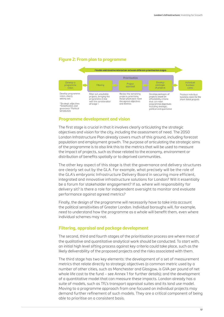#### **Figure 2: From plan to programme**



#### **Programme development and vision**

The first stage is crucial in that it involves clearly articulating the strategic objectives and vision for the city, including the assessment of need. The 2050 London Infrastructure Plan already covers much of this ground, including forecast population and employment growth. The purpose of articulating the strategic aims of the programme is to also link this to the metrics that will be used to measure the impact of projects, such as those related to the economy, environment or distribution of benefits spatially or to deprived communities.

The other key aspect of this stage is that the governance and delivery structures are clearly set out by the GLA. For example, what precisely will be the role of the GLA's embryonic Infrastructure Delivery Board in securing more efficient, integrated and innovative infrastructure solutions for London? Will it essentially be a forum for stakeholder engagement? If so, where will responsibility for delivery sit? Is there a role for independent oversight to monitor and evaluate performance against agreed metrics?

Finally, the design of the programme will necessarily have to take into account the political sensitivities of Greater London. Individual boroughs will, for example, need to understand how the programme as a whole will benefit them, even where individual schemes may not.

#### **Filtering, appraisal and package development**

The second, third and fourth stages of the prioritisation process are where most of the qualitative and quantitative analytical work should be conducted. To start with, an initial high level sifting process against key criteria could take place, such as the likely deliverability of the proposed projects and the risks associated with them.

The third stage has two key elements: the development of a set of measurement metrics that relate directly to strategic objectives (a common metric used by a number of other cities, such as Manchester and Glasgow, is GVA per pound of net whole life cost to the fund – see Annex 1 for further details); and the development of a quantitative model that can measure these impacts. London already has a suite of models, such as TfL's transport appraisal suites and its land use model. Moving to a programme approach from one focused on individual projects may demand further refinement of such models. They are a critical component of being able to prioritise on a consistent basis.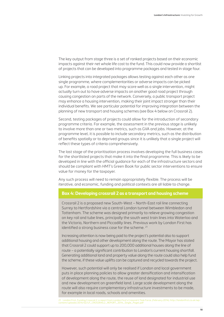The key output from stage three is a set of ranked projects based on their economic impacts against their net whole life cost to the fund. This could now provide a shortlist of projects that can be developed into programme packages and tested in stage four.

Linking projects into integrated packages allows testing against each other as one single programme, where complementarities or adverse impacts can be picked up. For example, a road project that may score well as a single intervention, might actually turn out to have adverse impacts on another good road project through causing congestion on parts of the network. Conversely, a public transport project may enhance a housing intervention, making their joint impact stronger than their individual benefits. We see particular potential for improving integration between the planning of new transport and housing schemes (see Box 4 below on Crossrail 2).

Second, testing packages of projects could allow for the introduction of secondary programme criteria. For example, the assessment in the previous stage is unlikely to involve more than one or two metrics, such as GVA and jobs. However, at the programme level, it is possible to include secondary metrics, such as the distribution of benefits spatially or to deprived groups since it is unlikely that a single project will reflect these types of criteria comprehensively.

The last stage of the prioritisation process involves developing the full business cases for the shortlisted projects that make it into the final programme. This is likely to be developed in line with the official guidance for each of the infrastructure sectors and should be compliant with HMT's Green Book for public sector interventions to ensure value for money for the taxpayer.

Any such process will need to remain appropriately flexible. The process will be iterative, and economic, funding and political contexts are all liable to change.

#### **Box 4: Developing crossrail 2 as a transport and housing scheme**

Crossrail 2 is a proposed new South-West – North-East rail line connecting Surrey to Hertfordshire via a central London tunnel between Wimbledon and Tottenham. The scheme was designed primarily to relieve growing congestion on key rail and tube lines, principally the south west train lines into Waterloo and the Victoria, Northern and Piccadilly lines. Previous work by London First has identified a strong business case for the scheme. <sup>21</sup>

Increasing attention is now being paid to the project's potential also to support additional housing and other development along the route. The Mayor has stated that Crossrail 2 could support up to 200,000 additional houses along the line of route – a potentially significant contribution to London's current housing shortfall. Generating additional land and property value along the route could also help fund the scheme, if these value uplifts can be captured and recycled towards the project.

However, such potential will only be realised if London and local government puts in place planning policies to allow greater densification and intensification of development along the route, the reuse of land designated for industrial use and new development on greenfield land. Large scale development along the route will also require complementary infrastructure investments to be made, for example in local roads, schools and amenities.

21. London First, Funding Crossrail 2: a report from London First's Crossrail 2 Task Force, (February 2014). http://londonfirst.co.uk/wpcontent/uploads/2014/02/LF\_CROSSRAIL2\_REPORT\_2014\_Single\_Pages.pdf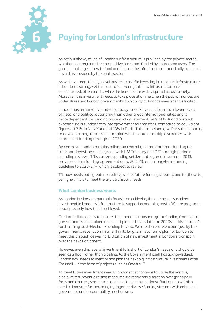

# **6 Paying for London's Infrastructure**

As set out above, much of London's infrastructure is provided by the private sector, whether on a regulated or competitive basis, and funded by charges on users. The greater challenge is how to fund and finance the infrastructure – principally transport – which is provided by the public sector.

As we have seen, the high level business case for investing in transport infrastructure in London is strong. Yet the costs of delivering this new infrastructure are concentrated, often on TfL, while the benefits are widely spread across society. Moreover, this investment needs to take place at a time when the public finances are under stress and London government's own ability to finance investment is limited.

London has remarkably limited capacity to self-invest. It has much lower levels of fiscal and political autonomy than other great international cities and is more dependent for funding on central government. 74% of GLA and borough expenditure is funded from intergovernmental transfers, compared to equivalent figures of 31% in New York and 18% in Paris. This has helped give Paris the capacity to develop a long-term transport plan which contains multiple schemes with committed funding through to 2030.

By contrast, London remains reliant on central government grant funding for transport investment, as agreed with HM Treasury and DfT through periodic spending reviews. TfL's current spending settlement, agreed in summer 2013, provides a firm funding agreement up to 2015/16 and a long-term funding guideline to 2020/21 – which is subject to review.

TfL now needs both greater certainty over its future funding streams, and for these to be higher, if it is to meet the city's transport needs.

#### **What London business wants**

As London businesses, our main focus is on achieving the outcome – sustained investment in London's infrastructure to support economic growth. We are pragmatic about precisely how that is achieved.

Our immediate goal is to ensure that London's transport grant funding from central government is maintained at least at planned levels into the 2020s in this summer's forthcoming post-Election Spending Review. We are therefore encouraged by the government's recent commitment in its long term economic plan for London to meet this through delivering £10 billion of new investment in London's transport over the next Parliament.

However, even this level of investment falls short of London's needs and should be seen as a floor rather than a ceiling. As the Government itself has acknowledged, London now needs to identify and plan the next big infrastructure investments after Crossrail – in the form of projects such as Crossrail 2.

To meet future investment needs, London must continue to utilise the various, albeit limited, revenue raising measures it already has discretion over (principally fares and charges, some taxes and developer contributions). But London will also need to innovate further, bringing together diverse funding streams with enhanced governance and accountability mechanisms.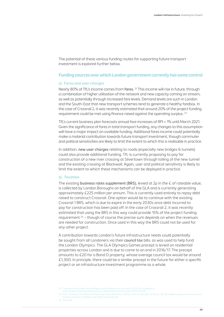The potential of these various funding routes for supporting future transport investment is explored further below.

#### **Funding sources over which London government currently has some control**

#### **a) Fares and user charges**

Nearly 80% of TfL's income comes from fares. 22 This income will rise in future, through a combination of higher utilisation of the network and new capacity coming on stream, as well as potentially through increased fare levels. Demand levels are such in London and the South-East that new transport schemes tend to generate a healthy farebox. In the case of Crossrail 2, it was recently estimated that around 20% of the project funding requirement could be met using finance raised against the operating surplus. 23

TfL's current business plan forecasts annual fare increases of RPI + 1% until March 2021. Given the significance of fares in total transport funding, any changes to this assumption will have a major impact on available funding. Additional fares income could potentially make a material contribution towards future transport investment, though commuter and political sensitivities are likely to limit the extent to which this is realisable in practice.

In addition, new user charges relating to roads (especially new bridges & tunnels) could also provide additional funding. TfL is currently proposing to pay for construction of a new river crossing at Silvertown through tolling of the new tunnel and the existing crossing at Blackwall. Again, user and political sensitivity is likely to limit the extent to which these mechanisms can be deployed in practice.

#### **b) Taxation**

The existing business rates supplement (BRS), levied at  $2p$  in the  $E$  of rateable value, is collected by London Boroughs on behalf of the GLA and is currently generating approximately £225 million per annum. This is currently used entirely to repay debt raised to construct Crossrail. One option would be to continue with the existing Crossrail 1 BRS, which is due to expire in the early 2030s once debt incurred to pay for construction has been paid off. In the case of Crossrail 2, it was recently estimated that using the BRS in this way could provide 15% of the project funding requirement  $24 -$  though of course the precise sum depends on when the revenues are needed for construction. Once used in this way the BRS could not be used for any other project.

A contribution towards London's future infrastructure needs could potentially be sought from all Londoners via their council tax bills, as was used to help fund the London Olympics. The GLA Olympics Games precept is levied on residential properties across London and is due to come to an end in 2016/17. The precept amounts to £20 for a Band D property, whose average council tax would be around £1,300. In principle, there could be a similar precept in the future for either a specific project or an infrastructure investment programme as a whole.

<sup>22.</sup> Transport for London, Annual Report and Statement of Accounts (2013/14), available at http://www.tfl.gov.uk/cdn/static/cms/documents/annual-report-2013-14.pdf

<sup>23.</sup> PwC, Crossrail 2 Funding and financing study, (November 2014). https://www.pwc.co.uk/en\_UK/uk/capital-projects-infrastructure/ assets/crossrail-2-funding-and-financing-study.pdf

<sup>24.</sup> PwC ibid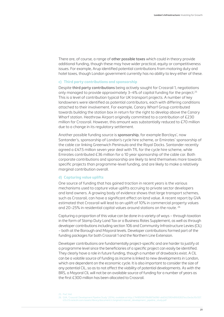There are, of course, a range of other possible taxes which could in theory provide additional funding, though these may have wider practical, equity or competitiveness issues. For example, Arup identified potential contributions from motoring duty and hotel taxes, though London government currently has no ability to levy either of these.

#### **c) Third party contributions and sponsorship**

Despite third party contributions being actively sought for Crossrail 1, negotiations only managed to provide approximately 3-4% of capital funding for the project.<sup>25</sup> This is a level of contribution typical for UK transport projects. A number of key landowners were identified as potential contributors, each with differing conditions attached to their involvement. For example, Canary Wharf Group contributed towards building the station box in return for the right to develop above the Canary Wharf station. Heathrow Airport originally committed to a contribution of £230 million for Crossrail. However, this amount was substantially reduced to £70 million due to a change in its regulatory settlement.

Another possible funding source is sponsorship, for example Barclays', now Santander's, sponsorship of London's cycle hire scheme, or Emirates' sponsorship of the cable car linking Greenwich Peninsula and the Royal Docks. Santander recently agreed a £47.5 million seven year deal with TfL for the cycle hire scheme, while Emirates contributed £36 million for a 10 year sponsorship of the cable car. Both corporate contributions and sponsorship are likely to lend themselves more towards specific projects than programme-level funding, and are likely to make a relatively marginal contribution overall.

#### **d) Capturing value uplifts**

One source of funding that has gained traction in recent years is the various mechanisms used to capture value uplifts accruing to private sector developers and land owners. A growing body of evidence shows that large transport schemes, such as Crossrail, can have a significant effect on land value. A recent report by GVA estimated that Crossrail will lead to an uplift of 10% in commercial property values and 20–25% in residential capital values around stations on the route. 26

Capturing a proportion of this value can be done in a variety of ways – through taxation in the form of Stamp Duty Land Tax or a Business Rates Supplement, as well as through developer contributions including section 106 and Community Infrastructure Levies (CIL) – both at the Borough and Mayoral levels. Developer contributions formed part of the funding packages for both Crossrail 1 and the Northern Line Extension.

Developer contributions are fundamentally project-specific and are harder to justify at a programme level since the beneficiaries of a specific project can easily be identified. They clearly have a role in future funding, though a number of drawbacks exist. A CIL can be a volatile source of funding as income is linked to new developments in London, which are dependent on the economic cycle. It is also important to consider the size of any potential CIL, so as to not affect the viability of potential developments. As with the BRS, a Mayoral CIL will not be an available source of funding for a number of years as the first £300 million has been allocated to Crossrail.

<sup>25.</sup> PwC ibid

<sup>26.</sup> GVA, 'Crossrail: Development Pipeline Study' (2014), available at http://74f85f59f39b887b696f-ab656259048fb92837ecc0ecbcf0c557.<br>r23.cf3.rackcdn.com/assets/library/document/c/original/crossrail\_development\_pipeline\_stu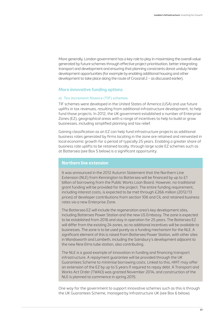More generally, London government has a key role to play in maximising the overall value generated by future schemes through effective project prioritisation, better integrating transport and development and ensuring that planning constraints donot unduly hinder development opportunities (for example by enabling additional housing and other development to take place along the route of Crossrail 2 – as discussed earlier).

#### **More innovative funding options**

#### **a) Tax increment finance (TIF) schemes**

TIF schemes were developed in the United States of America (USA) and use future uplifts in tax revenues, resulting from additional infrastructure development, to help fund those projects. In 2012, the UK government established a number of Enterprise Zones (EZ), geographical areas with a range of incentives to help to build or grow businesses, including simplified planning and tax relief.

Gaining classification as an EZ can help fund infrastructure projects as additional business rates generated by firms locating in the zone are retained and reinvested in local economic growth for a period of typically 25 years. Enabling a greater share of business rate uplifts to be retained locally, through large scale EZ schemes such as at Battersea (see Box 5 below) is a significant opportunity.

#### **Northern line extension**

It was announced in the 2012 Autumn Statement that the Northern Line Extension (NLE) from Kennington to Battersea will be financed by up to £1 billion of borrowing from the Public Works Loan Board. However, no traditional grant funding will be provided for the project. The entire funding requirement, including interest costs, is expected to be met through £266 million (2012/13 prices) of developer contributions from section 106 and CIL and retained business rates via a new Enterprise Zone.

The Battersea EZ will include the regeneration area's key development sites, including Battersea Power Station and the new US Embassy. The zone is expected to be established from 2016 and stay in operation for 25 years. The Battersea EZ will differ from the existing 24 zones, as no additional incentives will be available to businesses. The zone is to be used purely as a funding mechanism for the NLE. A significant element of this is raised from Battersea Power Station, with other sites in Wandsworth and Lambeth, including the Sainsbury's development adjacent to the new Nine Elms tube station, also contributing.

The NLE is a good example of innovation in funding and financing transport infrastructure. A repayment guarantee will be provided through the UK Guarantees Scheme to minimise borrowing costs. Linked to this, HMT may offer an extension of the EZ by up to 5 years if required to repay debt. A Transport and Works Act Order (TWAO) was granted November 2014, and construction of the NLE is planned to commence in spring 2015.

One way for the government to support innovative schemes such as this is through the UK Guarantees Scheme, managed by Infrastructure UK (see Box 6 below).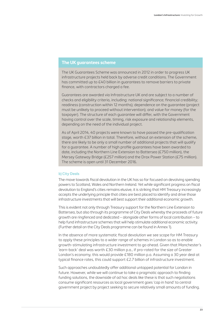#### **The UK guarantees scheme**

The UK Guarantees Scheme was announced in 2012 in order to progress UK infrastructure projects held back by adverse credit conditions. The Government has committed up to £40 billion in guarantees to remove barriers to private finance, with contractors charged a fee.

Guarantees are awarded via Infrastructure UK and are subject to a number of checks and eligibility criteria, including: national significance; financial credibility; readiness (construction within 12 months); dependence on the guarantee (project must be unlikely to proceed without intervention); and value for money (for the taxpayer). The structure of each guarantee will differ, with the Government having control over the scale, timing, risk exposure and relationship elements, depending on the need of the individual project.

As of April 2014, 40 projects were known to have passed the pre-qualification stage, worth £37 billion in total. Therefore, without an extension of the scheme, there are likely to be only a small number of additional projects that will qualify for a guarantee. A number of high profile guarantees have been awarded to date, including the Northern Line Extension to Battersea (£750 million), the Mersey Gateway Bridge (£257 million) and the Drax Power Station (£75 million). The scheme is open until 31 December 2016.

#### **b) City Deals**

The move towards fiscal devolution in the UK has so far focused on devolving spending powers to Scotland, Wales and Northern Ireland. Yet while significant progress on fiscal devolution to England's cities remains elusive, it is striking that HM Treasury increasingly accepts the underlying principle that cities are best placed to identify and drive those infrastructure investments that will best support their additional economic growth.

This is evident not only through Treasury support for the Northern Line Extension to Battersea, but also through its programme of City Deals whereby the proceeds of future growth are ringfenced and dedicated – alongside other forms of local contribution – to help fund infrastructure schemes that will help stimulate additional economic activity. (Further detail on the City Deals programme can be found in Annex 1).

In the absence of more systematic fiscal devolution we see scope for HM Treasury to apply these principles to a wider range of schemes in London so as to enable growth-stimulating infrastructure investment to go ahead. Given that Manchester's 'earn-back' deal was worth £30 million p.a., if pro-rated for the size of Greater London's economy, this would provide £180 million p.a. Assuming a 30 year deal at typical finance rates, this could support £2.7 billion of infrastructure investment.

Such approaches undoubtedly offer additional untapped potential for London in future. However, while we will continue to take a pragmatic approach to finding funding solutions, the downside of ad hoc deals like these is that such negotiations consume significant resources as local government goes 'cap in hand' to central government project by project seeking to secure relatively small amounts of funding.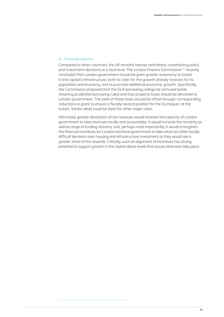#### **c) Fiscal devolution**

Compared to other countries, the UK remains heavily centralised, constraining policy and investment decisions at a local level. The London Finance Commission <sup>27</sup> recently concluded that London government should be given greater autonomy to invest in the capital's infrastructure, both to cater for the growth already forecast for its population and economy, and to promote additional economic growth. Specifically, the Commission proposed that the GLA borrowing ceilings be removed (while retaining prudential borrowing rules) and that property taxes should be devolved to London government. The yield of these taxes should be offset through corresponding reductions in grant to ensure a fiscally neutral position for the Exchequer, at the outset. Similar deals could be done for other major cities.

Ultimately greater devolution of tax revenues would increase the capacity of London government to raise revenues locally and accountably; it would increase the certainty as well as range of funding streams; and, perhaps most importantly, it would strengthen the financial incentives for London and local government to take what are often locally difficult decisions over housing and infrastructure investment as they would see a greater share of the rewards. Critically, such an alignment of incentives has strong potential to support growth in the capital above levels that would otherwise take place.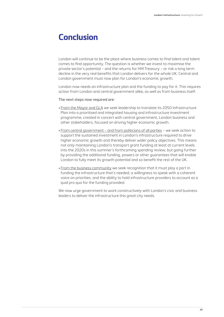## **Conclusion**

London will continue to be the place where business comes to find talent and talent comes to find opportunity. The question is whether we invest to maximise the private sector's potential – and the returns for HM Treasury – or risk a long term decline in the very real benefits that London delivers for the whole UK. Central and London government must now plan for London's economic growth.

London now needs an infrastructure plan and the funding to pay for it. This requires action from London and central government alike, as well as from business itself.

#### The next steps now required are:

- From the Mayor and GLA we seek leadership to translate its 2050 Infrastructure Plan into a prioritised and integrated housing and infrastructure investment programme, created in concert with central government, London business and other stakeholders, focused on driving higher economic growth.
- From central government and from politicians of all parties we seek action to support the sustained investment in London's infrastructure required to drive higher economic growth and thereby deliver wider policy objectives. This means not only maintaining London's transport grant funding at least at current levels into the 2020s in this summer's forthcoming spending review; but going further by providing the additional funding, powers or other guarantees that will enable London to fully meet its growth potential and so benefit the rest of the UK.
- From the business community we seek recognition that it must play a part in funding the infrastructure that's needed; a willingness to speak with a coherent voice on priorities; and the ability to hold infrastructure providers to account as a quid pro quo for the funding provided.

We now urge government to work constructively with London's civic and business leaders to deliver the infrastructure this great city needs.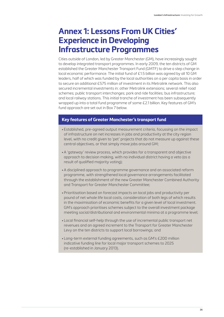## **Annex 1: Lessons From UK Cities' Experience in Developing Infrastructure Programmes**

Cities outside of London, led by Greater Manchester (GM), have increasingly sought to develop integrated transport programmes. In early 2009, the ten districts of GM established the Greater Manchester Transport Fund (GMTF) to drive a step change in local economic performance. The initial fund of £1.5 billion was agreed by all 10 GM leaders, half of which was funded by the local authorities on a per capita basis in order to secure an additional £575 million of investment in its Metrolink network. This also secured incremental investments in: other Metrolink extensions; several relief road schemes; public transport interchanges; park and ride facilities; bus infrastructure; and local railway stations. This initial tranche of investment has been subsequently wrapped up into a total fund programme of some £2.1 billion. Key features of GM's fund approach are set out in Box 7 below.

#### **Key features of Greater Manchester's transport fund**

- Established, pre-agreed output measurement criteria, focussing on the impact of infrastructure on net increases in jobs and productivity at the city region level, with no credit given to 'pet' projects that do not measure up against these central objectives, or that simply move jobs around GM;
- •A 'gateway' review process, which provides for a transparent and objective approach to decision making, with no individual district having a veto (as a result of qualified majority voting);
- •A disciplined approach to programme governance and an associated reform programme, with strengthened local governance arrangements facilitated through the establishment of the new Greater Manchester Combined Authority and Transport for Greater Manchester Committee;
- Prioritisation based on forecast impacts on local jobs and productivity per pound of net whole life local costs, consideration of both legs of which results in the maximisation of economic benefits for a given level of local investment. GM's approach prioritises schemes subject to the overall investment package meeting social/distributional and environmental minima at a programme level;
- Local financial self-help through the use of incremental public transport net revenues and an agreed increment to the Transport for Greater Manchester Levy on the ten districts to support local borrowings; and
- Long-term external funding agreements, such as GM's £200 million indicative funding line for local major transport schemes to 2025 (re-established in January 2013).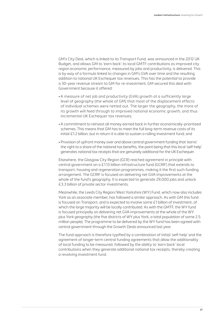GM's City Deal, which is linked to its Transport Fund, was announced in the 2012 UK Budget, and allows GM to 'earn back' its local GMTF contributions as improved city region economic performance, measured by jobs and productivity, is delivered. This is by way of a formula linked to changes in GM's GVA over time and the resulting addition to national UK Exchequer tax revenues. This has the potential to provide a 30-year revenue stream to GM for re-investment. GM secured this deal with Government because it offered:

- •A measure of net job and productivity (GVA) growth at a sufficiently large level of geography (the whole of GM) that most of the displacement effects of individual schemes were netted out. The larger the geography, the more of its growth will feed through to improved national economic growth, and thus incremental UK Exchequer tax revenues;
- •A commitment to reinvest all money earned back in further economically-prioritised schemes. This means that GM has to meet the full long-term revenue costs of its initial £1.2 billion, but in return it is able to sustain a rolling investment fund; and
- Provision of upfront money over and above central government funding that 'earns' the right to a share of the national tax benefits, the point being that this local 'self-help' generates national tax receipts that are genuinely additional for the UK Exchequer.

Elsewhere, the Glasgow City Region (GCR) reached agreement in principle with central government on a £1.13 billion infrastructure fund (GCRIF) that extends to transport, housing and regeneration programmes, making it the first such funding arrangement. The GCRIF is focused on delivering net GVA improvements at the whole of the fund's geography. It is expected to generate 29,000 jobs and unlock £3.3 billion of private sector investments.

Meanwhile, the Leeds City Region/West Yorkshire (WY) Fund, which now also includes York as an associate member, has followed a similar approach. As with GM this fund is focused on Transport, and is expected to involve some £1 billion of investment, of which the large majority will be locally contributed. As with the GMTF, the WY fund is focused principally on delivering net GVA improvements at the whole of the WY plus York geography (the five districts of WY plus York, a total population of some 2.5 million people). The programme to be delivered by the WY fund has been agreed with central government through the Growth Deals announced last year.

The fund approach is therefore typified by a combination of initial 'self-help' and the agreement of longer-term central funding agreements that allow the additionality of local funding to be measured, followed by the ability to 'earn back' local contributions when they generate additional national tax receipts, thereby creating a revolving investment fund.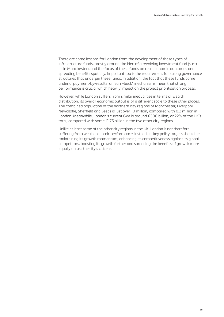There are some lessons for London from the development of these types of infrastructure funds, mostly around the idea of a revolving investment fund (such as in Manchester), and the focus of these funds on real economic outcomes and spreading benefits spatially. Important too is the requirement for strong governance structures that underpin these funds. In addition, the fact that these funds come under a 'payment-by-results' or 'earn-back' mechanisms mean that strong performance is crucial which heavily impact on the project prioritisation process.

However, while London suffers from similar inequalities in terms of wealth distribution, its overall economic output is of a different scale to these other places. The combined population of the northern city regions of Manchester, Liverpool, Newcastle, Sheffield and Leeds is just over 10 million, compared with 8.2 million in London. Meanwhile, London's current GVA is around £300 billion, or 22% of the UK's total, compared with some £175 billion in the five other city regions.

Unlike at least some of the other city regions in the UK, London is not therefore suffering from weak economic performance. Instead, its key policy targets should be maintaining its growth momentum, enhancing its competitiveness against its global competitors, boosting its growth further and spreading the benefits of growth more equally across the city's citizens.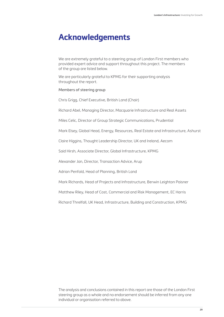## **Acknowledgements**

We are extremely grateful to a steering group of London First members who provided expert advice and support throughout this project. The members of the group are listed below.

We are particularly grateful to KPMG for their supporting analysis throughout the report.

#### Members of steering group

Chris Grigg, Chief Executive, British Land (Chair)

Richard Abel, Managing Director, Macquarie Infrastructure and Real Assets

Miles Celic, Director of Group Strategic Communications, Prudential

Mark Elsey, Global Head, Energy, Resources, Real Estate and Infrastructure, Ashurst

Claire Higgins, Thought Leadership Director, UK and Ireland, Aecom

Said Hirsh, Associate Director, Global Infrastructure, KPMG

Alexander Jan, Director, Transaction Advice, Arup

Adrian Penfold, Head of Planning, British Land

Mark Richards, Head of Projects and Infrastructure, Berwin Leighton Paisner

Matthew Riley, Head of Cost, Commercial and Risk Management, EC Harris

Richard Threlfall, UK Head, Infrastructure, Building and Construction, KPMG

The analysis and conclusions contained in this report are those of the London First steering group as a whole and no endorsement should be inferred from any one individual or organisation referred to above.